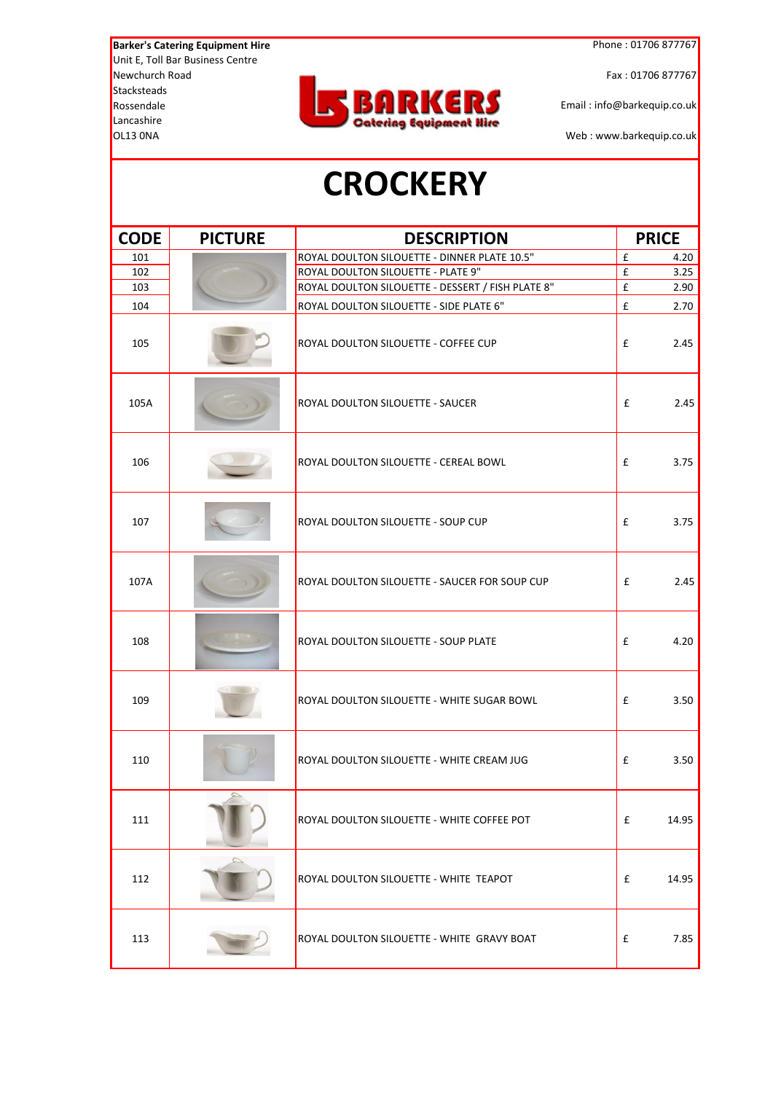#### **CROCKERY**

| <b>CODE</b> | <b>PICTURE</b> | <b>DESCRIPTION</b>                                | <b>PRICE</b>               |
|-------------|----------------|---------------------------------------------------|----------------------------|
| 101         |                | ROYAL DOULTON SILOUETTE - DINNER PLATE 10.5"      | $\pmb{\mathsf{f}}$<br>4.20 |
| 102         |                | ROYAL DOULTON SILOUETTE - PLATE 9"                | £<br>3.25                  |
| 103         |                | ROYAL DOULTON SILOUETTE - DESSERT / FISH PLATE 8" | $\pmb{\mathtt{f}}$<br>2.90 |
| 104         |                | ROYAL DOULTON SILOUETTE - SIDE PLATE 6"           | £<br>2.70                  |
| 105         |                | ROYAL DOULTON SILOUETTE - COFFEE CUP              | £<br>2.45                  |
| 105A        |                | ROYAL DOULTON SILOUETTE - SAUCER                  | £<br>2.45                  |
| 106         |                | ROYAL DOULTON SILOUETTE - CEREAL BOWL             | £<br>3.75                  |
| 107         |                | ROYAL DOULTON SILOUETTE - SOUP CUP                | £<br>3.75                  |
| 107A        |                | ROYAL DOULTON SILOUETTE - SAUCER FOR SOUP CUP     | £<br>2.45                  |
| 108         |                | ROYAL DOULTON SILOUETTE - SOUP PLATE              | £<br>4.20                  |
| 109         |                | ROYAL DOULTON SILOUETTE - WHITE SUGAR BOWL        | £<br>3.50                  |
| 110         |                | ROYAL DOULTON SILOUETTE - WHITE CREAM JUG         | £<br>3.50                  |
| 111         |                | ROYAL DOULTON SILOUETTE - WHITE COFFEE POT        | £<br>14.95                 |
| 112         |                | ROYAL DOULTON SILOUETTE - WHITE TEAPOT            | £<br>14.95                 |
| 113         |                | ROYAL DOULTON SILOUETTE - WHITE GRAVY BOAT        | £<br>7.85                  |

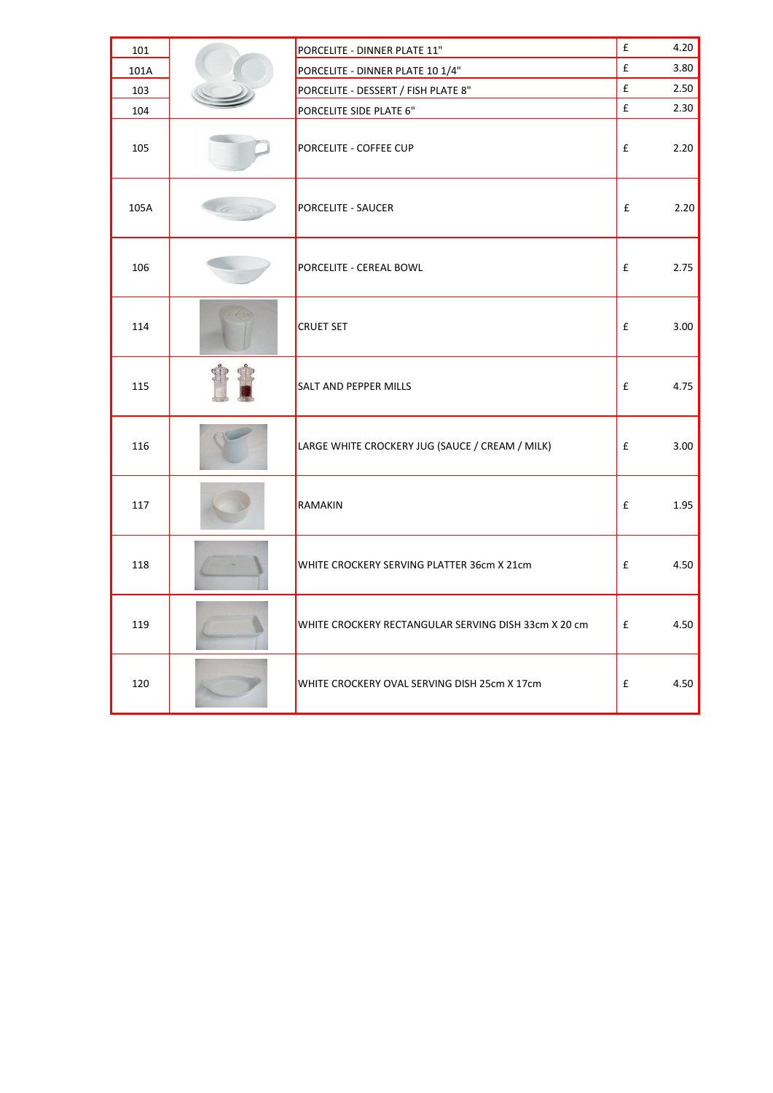| 101  |          | PORCELITE - DINNER PLATE 11"                         | $\mathbf f$        | 4.20 |
|------|----------|------------------------------------------------------|--------------------|------|
| 101A |          | PORCELITE - DINNER PLATE 10 1/4"                     | $\pmb{\mathsf{f}}$ | 3.80 |
| 103  |          | PORCELITE - DESSERT / FISH PLATE 8"                  | $\pmb{\mathsf{f}}$ | 2.50 |
| 104  |          | PORCELITE SIDE PLATE 6"                              | $\mathbf f$        | 2.30 |
| 105  |          | PORCELITE - COFFEE CUP                               | £                  | 2.20 |
| 105A | $\sigma$ | <b>PORCELITE - SAUCER</b>                            | £                  | 2.20 |
| 106  |          | PORCELITE - CEREAL BOWL                              | £                  | 2.75 |
| 114  |          | <b>CRUET SET</b>                                     | £                  | 3.00 |
| 115  |          | <b>SALT AND PEPPER MILLS</b>                         | £                  | 4.75 |
| 116  |          | LARGE WHITE CROCKERY JUG (SAUCE / CREAM / MILK)      | £                  | 3.00 |
| 117  |          | RAMAKIN                                              | £                  | 1.95 |
| 118  |          | WHITE CROCKERY SERVING PLATTER 36cm X 21cm           | £                  | 4.50 |
| 119  |          | WHITE CROCKERY RECTANGULAR SERVING DISH 33cm X 20 cm | £                  | 4.50 |
| 120  |          | WHITE CROCKERY OVAL SERVING DISH 25cm X 17cm         | £                  | 4.50 |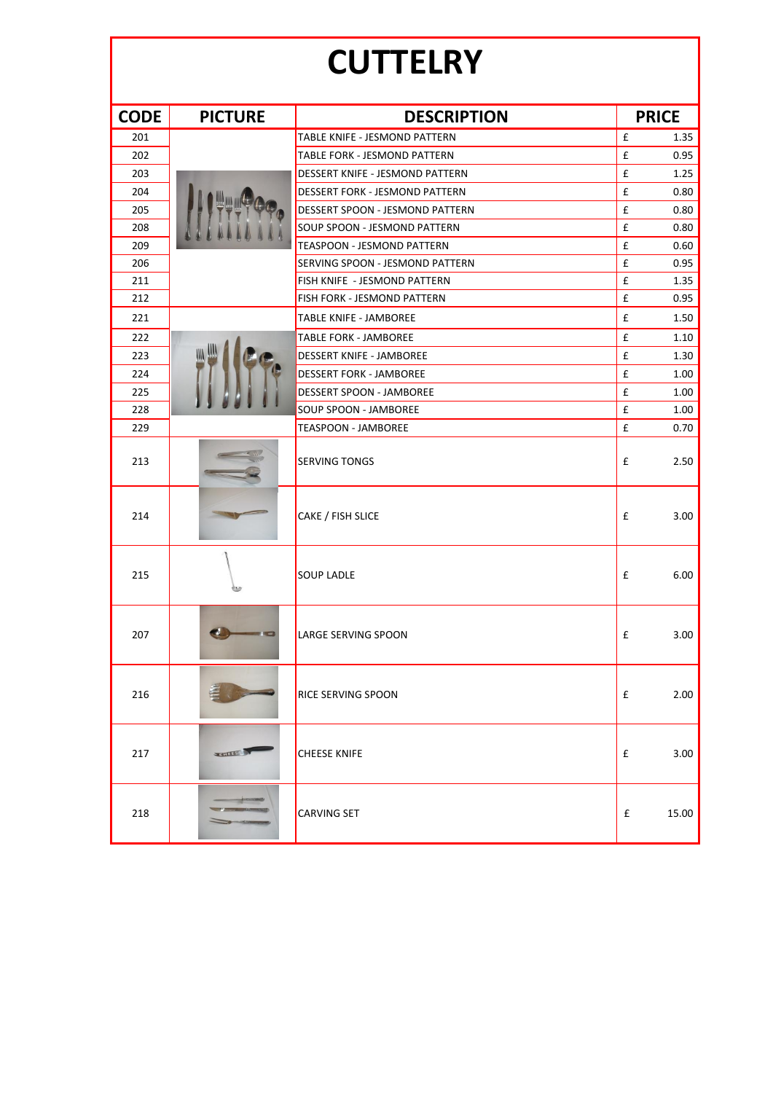### **CUTTELRY**

| <b>CODE</b> | <b>PICTURE</b> | <b>DESCRIPTION</b>                    | <b>PRICE</b>               |
|-------------|----------------|---------------------------------------|----------------------------|
| 201         |                | TABLE KNIFE - JESMOND PATTERN         | $\mathbf f$<br>1.35        |
| 202         |                | <b>TABLE FORK - JESMOND PATTERN</b>   | £<br>0.95                  |
| 203         |                | DESSERT KNIFE - JESMOND PATTERN       | £<br>1.25                  |
| 204         |                | <b>DESSERT FORK - JESMOND PATTERN</b> | £<br>0.80                  |
| 205         |                | DESSERT SPOON - JESMOND PATTERN       | £<br>0.80                  |
| 208         |                | SOUP SPOON - JESMOND PATTERN          | £<br>0.80                  |
| 209         |                | <b>TEASPOON - JESMOND PATTERN</b>     | £<br>0.60                  |
| 206         |                | SERVING SPOON - JESMOND PATTERN       | £<br>0.95                  |
| 211         |                | FISH KNIFE - JESMOND PATTERN          | £<br>1.35                  |
| 212         |                | FISH FORK - JESMOND PATTERN           | £<br>0.95                  |
| 221         |                | <b>TABLE KNIFE - JAMBOREE</b>         | £<br>1.50                  |
| 222         |                | <b>TABLE FORK - JAMBOREE</b>          | $\pmb{\mathsf{f}}$<br>1.10 |
| 223         |                | <b>DESSERT KNIFE - JAMBOREE</b>       | £<br>1.30                  |
| 224         |                | <b>DESSERT FORK - JAMBOREE</b>        | £<br>1.00                  |
| 225         |                | <b>DESSERT SPOON - JAMBOREE</b>       | £<br>1.00                  |
| 228         |                | SOUP SPOON - JAMBOREE                 | £<br>1.00                  |
| 229         |                | <b>TEASPOON - JAMBOREE</b>            | £<br>0.70                  |
| 213         |                | <b>SERVING TONGS</b>                  | £<br>2.50                  |
| 214         |                | CAKE / FISH SLICE                     | £<br>3.00                  |
| 215         |                | <b>SOUP LADLE</b>                     | £<br>6.00                  |
| 207         |                | LARGE SERVING SPOON                   | £<br>3.00                  |
| 216         |                | <b>RICE SERVING SPOON</b>             | £<br>2.00                  |
| 217         | <b>SENTERS</b> | <b>CHEESE KNIFE</b>                   | 3.00<br>£                  |
| 218         |                | <b>CARVING SET</b>                    | 15.00<br>£                 |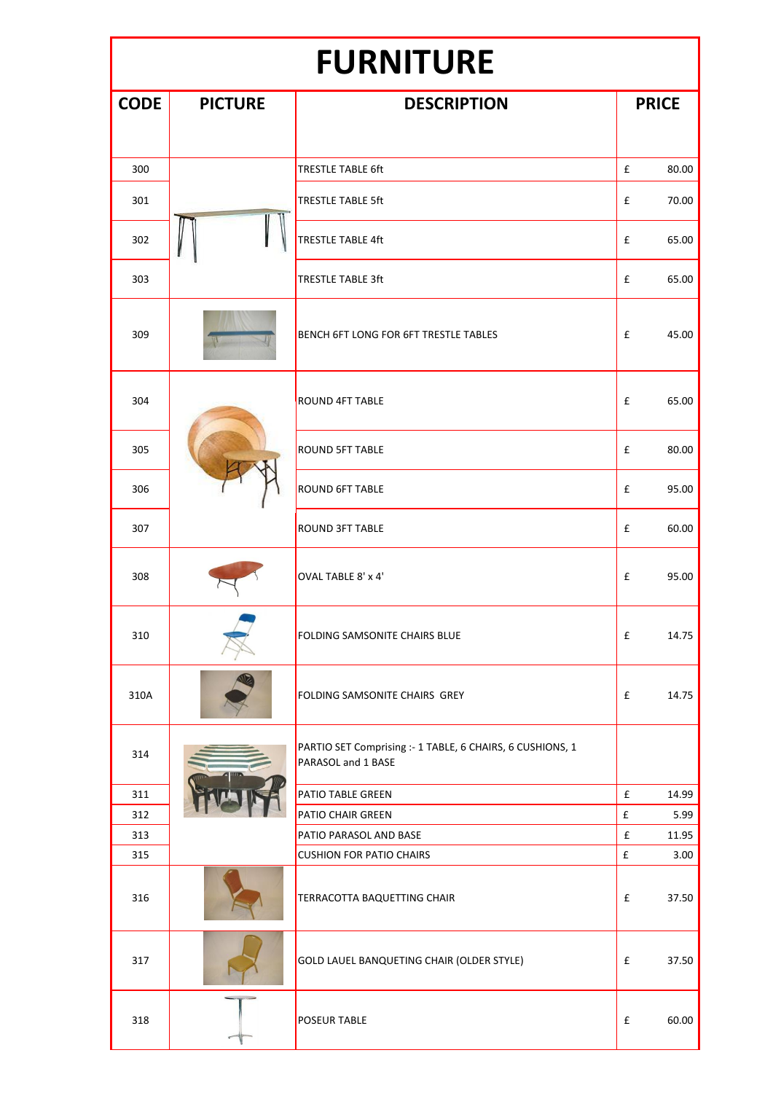### **FURNITURE**

| <b>CODE</b> | <b>PICTURE</b> | <b>DESCRIPTION</b>                                                              | <b>PRICE</b>       |       |
|-------------|----------------|---------------------------------------------------------------------------------|--------------------|-------|
|             |                |                                                                                 |                    |       |
|             |                |                                                                                 |                    |       |
| 300         |                | <b>TRESTLE TABLE 6ft</b>                                                        | £                  | 80.00 |
| 301         |                | <b>TRESTLE TABLE 5ft</b>                                                        | £                  | 70.00 |
| 302         |                | <b>TRESTLE TABLE 4ft</b>                                                        | £                  | 65.00 |
| 303         |                | <b>TRESTLE TABLE 3ft</b>                                                        | £                  | 65.00 |
| 309         |                | BENCH 6FT LONG FOR 6FT TRESTLE TABLES                                           | £                  | 45.00 |
| 304         |                | <b>ROUND 4FT TABLE</b>                                                          | £                  | 65.00 |
| 305         |                | <b>ROUND 5FT TABLE</b>                                                          | £                  | 80.00 |
| 306         |                | <b>ROUND 6FT TABLE</b>                                                          | £                  | 95.00 |
| 307         |                | <b>ROUND 3FT TABLE</b>                                                          | £                  | 60.00 |
| 308         |                | OVAL TABLE 8' x 4'                                                              | £                  | 95.00 |
| 310         |                | <b>FOLDING SAMSONITE CHAIRS BLUE</b>                                            | £                  | 14.75 |
| 310A        |                | FOLDING SAMSONITE CHAIRS GREY                                                   | £                  | 14.75 |
| 314         |                | PARTIO SET Comprising :- 1 TABLE, 6 CHAIRS, 6 CUSHIONS, 1<br>PARASOL and 1 BASE |                    |       |
| 311         |                | PATIO TABLE GREEN                                                               | £                  | 14.99 |
| 312         |                | PATIO CHAIR GREEN                                                               | $\pmb{\mathsf{f}}$ | 5.99  |
| 313         |                | PATIO PARASOL AND BASE                                                          | £                  | 11.95 |
| 315         |                | <b>CUSHION FOR PATIO CHAIRS</b>                                                 | $\pmb{\mathsf{f}}$ | 3.00  |
| 316         |                | TERRACOTTA BAQUETTING CHAIR                                                     | £                  | 37.50 |
| 317         |                | GOLD LAUEL BANQUETING CHAIR (OLDER STYLE)                                       | £                  | 37.50 |
| 318         |                | <b>POSEUR TABLE</b>                                                             | £                  | 60.00 |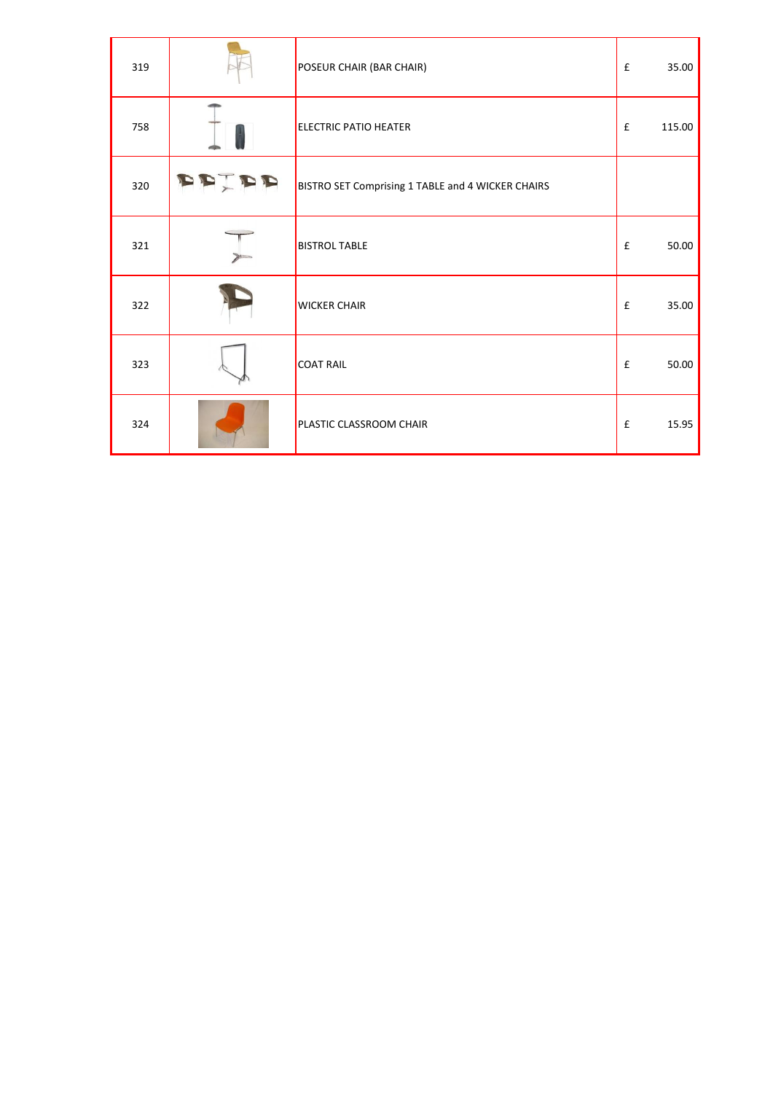| 319 | POSEUR CHAIR (BAR CHAIR)                          | $\mathbf{f}$       | 35.00  |
|-----|---------------------------------------------------|--------------------|--------|
| 758 | <b>ELECTRIC PATIO HEATER</b>                      | £                  | 115.00 |
| 320 | BISTRO SET Comprising 1 TABLE and 4 WICKER CHAIRS |                    |        |
| 321 | <b>BISTROL TABLE</b>                              | £                  | 50.00  |
| 322 | <b>WICKER CHAIR</b>                               | $\pmb{\mathtt{f}}$ | 35.00  |
| 323 | <b>COAT RAIL</b>                                  | £                  | 50.00  |
| 324 | PLASTIC CLASSROOM CHAIR                           | £                  | 15.95  |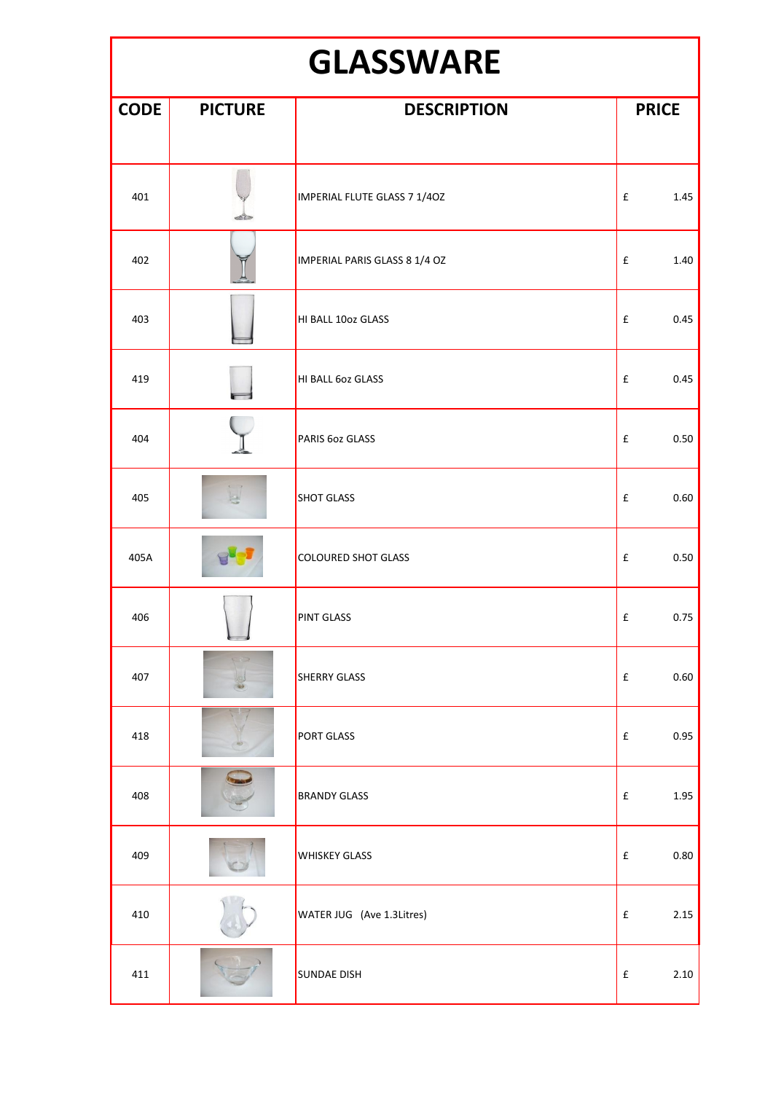### **GLASSWARE**

| <b>CODE</b> | <b>PICTURE</b> | <b>DESCRIPTION</b>            | <b>PRICE</b>               |
|-------------|----------------|-------------------------------|----------------------------|
|             |                |                               |                            |
| 401         | ali Cin        | IMPERIAL FLUTE GLASS 7 1/40Z  | $\pmb{\mathsf{f}}$<br>1.45 |
| 402         |                | IMPERIAL PARIS GLASS 8 1/4 OZ | 1.40<br>$\pmb{\mathsf{f}}$ |
| 403         |                | HI BALL 10oz GLASS            | $\pmb{\mathsf{f}}$<br>0.45 |
| 419         |                | HI BALL 602 GLASS             | 0.45<br>£                  |
| 404         |                | PARIS 60z GLASS               | 0.50<br>$\pmb{\mathsf{f}}$ |
| 405         |                | <b>SHOT GLASS</b>             | £<br>0.60                  |
| 405A        |                | <b>COLOURED SHOT GLASS</b>    | 0.50<br>$\pmb{\mathsf{f}}$ |
| 406         |                | <b>PINT GLASS</b>             | 0.75<br>£                  |
| 407         | F2             | <b>SHERRY GLASS</b>           | $\pmb{\mathsf{f}}$<br>0.60 |
| 418         |                | PORT GLASS                    | 0.95<br>$\pmb{\mathsf{f}}$ |
| 408         |                | <b>BRANDY GLASS</b>           | 1.95<br>$\pmb{\mathsf{f}}$ |
| 409         |                | <b>WHISKEY GLASS</b>          | 0.80<br>$\pmb{\mathsf{f}}$ |
| 410         |                | WATER JUG (Ave 1.3Litres)     | 2.15<br>$\pmb{\mathsf{f}}$ |
| 411         |                | <b>SUNDAE DISH</b>            | $\pmb{\mathsf{f}}$<br>2.10 |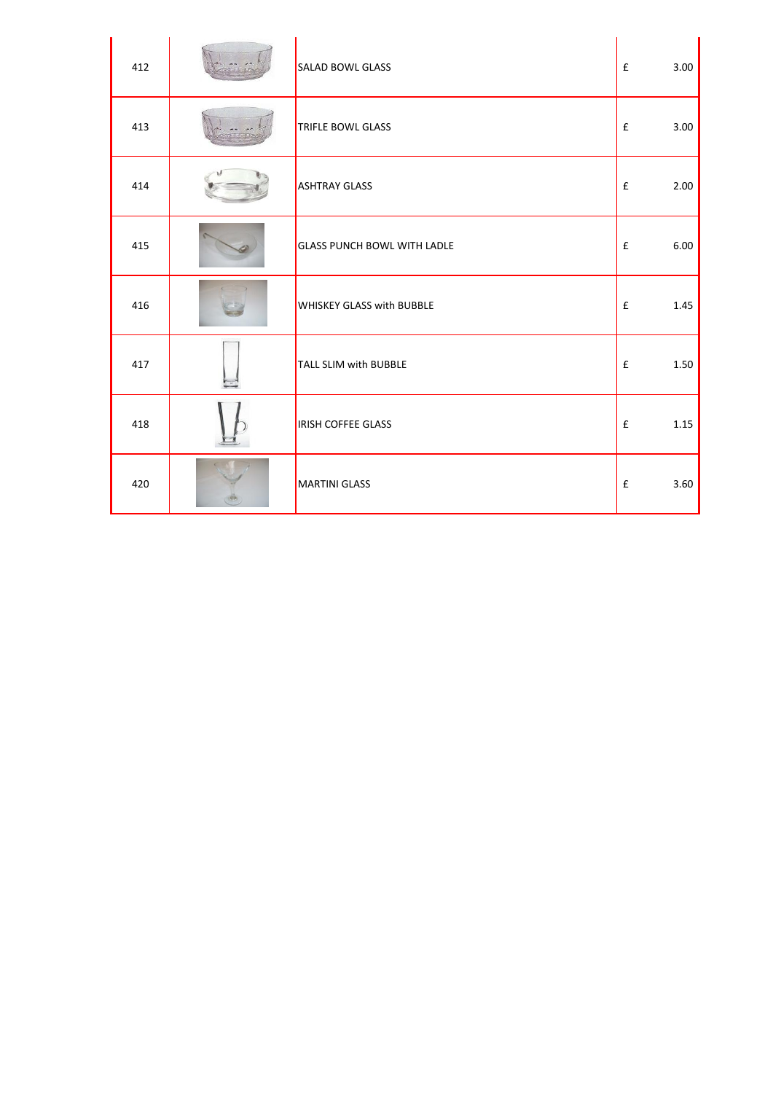| 412 | <b>SALAD BOWL GLASS</b>            | $\mathbf f$ | 3.00 |
|-----|------------------------------------|-------------|------|
| 413 | <b>TRIFLE BOWL GLASS</b>           | £           | 3.00 |
| 414 | <b>ASHTRAY GLASS</b>               | £           | 2.00 |
| 415 | <b>GLASS PUNCH BOWL WITH LADLE</b> | £           | 6.00 |
| 416 | <b>WHISKEY GLASS with BUBBLE</b>   | £           | 1.45 |
| 417 | TALL SLIM with BUBBLE              | £           | 1.50 |
| 418 | <b>IRISH COFFEE GLASS</b>          | £           | 1.15 |
| 420 | MARTINI GLASS                      | £           | 3.60 |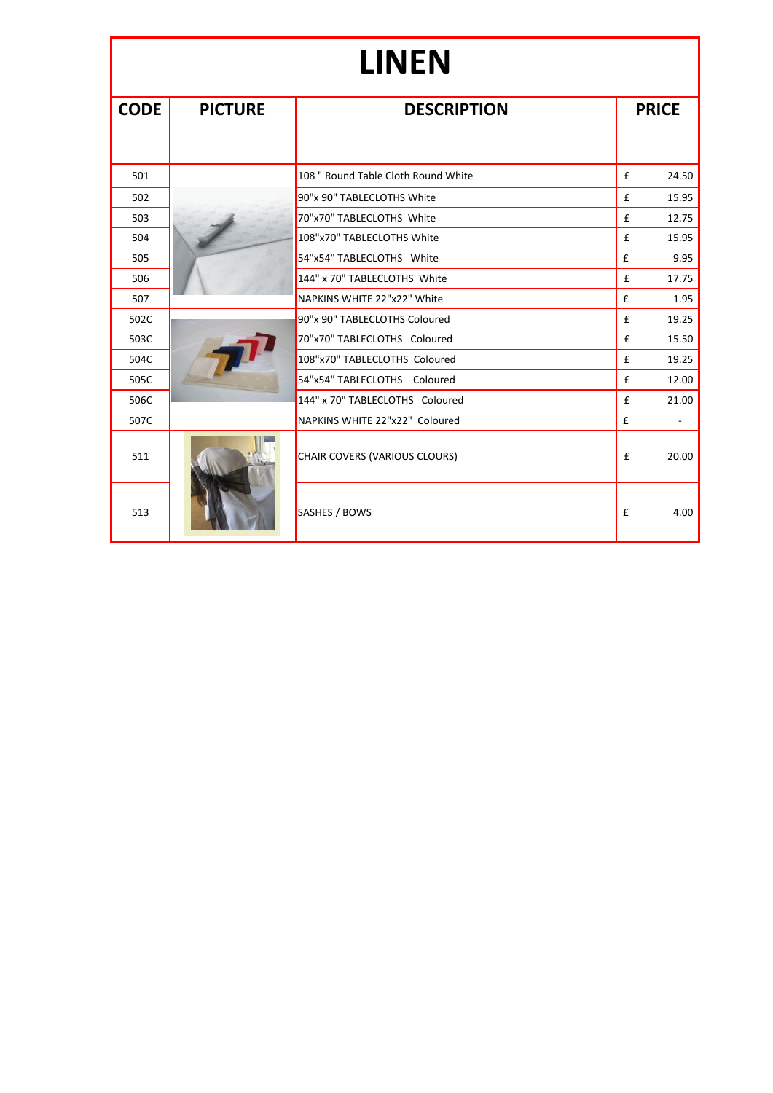# **LINEN**

| <b>CODE</b> | <b>PICTURE</b> | <b>DESCRIPTION</b>                   | <b>PRICE</b> |       |
|-------------|----------------|--------------------------------------|--------------|-------|
|             |                |                                      |              |       |
|             |                |                                      |              |       |
| 501         |                | 108 " Round Table Cloth Round White  | £            | 24.50 |
| 502         |                | 90"x 90" TABLECLOTHS White           | £            | 15.95 |
| 503         |                | 70"x70" TABLECLOTHS White            | £            | 12.75 |
| 504         |                | 108"x70" TABLECLOTHS White           | £            | 15.95 |
| 505         |                | 54"x54" TABLECLOTHS White            | £            | 9.95  |
| 506         |                | 144" x 70" TABLECLOTHS White         | £            | 17.75 |
| 507         |                | NAPKINS WHITE 22"x22" White          | £            | 1.95  |
| 502C        |                | 90"x 90" TABLECLOTHS Coloured        | £            | 19.25 |
| 503C        |                | 70"x70" TABLECLOTHS Coloured         | £            | 15.50 |
| 504C        |                | 108"x70" TABLECLOTHS Coloured        | £            | 19.25 |
| 505C        |                | 54"x54" TABLECLOTHS Coloured         | £            | 12.00 |
| 506C        |                | 144" x 70" TABLECLOTHS Coloured      | £            | 21.00 |
| 507C        |                | NAPKINS WHITE 22"x22" Coloured       | £            | ٠     |
| 511         |                | <b>CHAIR COVERS (VARIOUS CLOURS)</b> | £            | 20.00 |
| 513         |                | SASHES / BOWS                        | £            | 4.00  |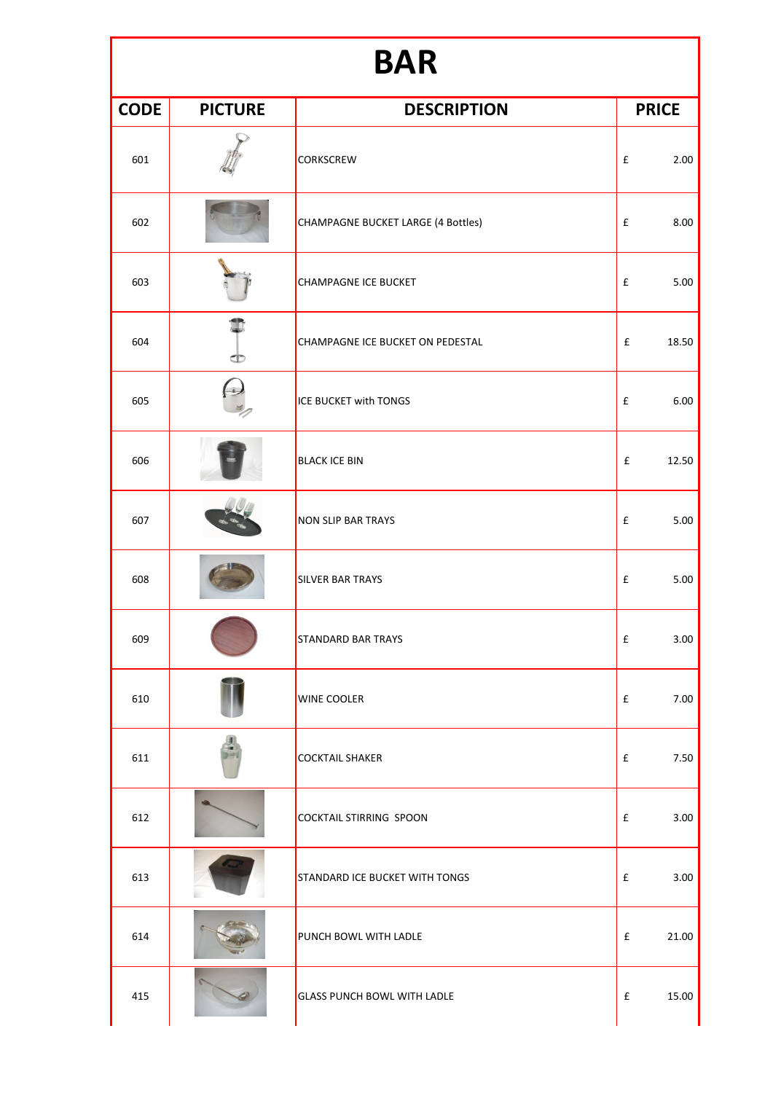## **BAR**

| <b>CODE</b> | <b>PICTURE</b> | <b>DESCRIPTION</b>                 | <b>PRICE</b>               |
|-------------|----------------|------------------------------------|----------------------------|
| 601         |                | <b>CORKSCREW</b>                   | £<br>2.00                  |
| 602         |                | CHAMPAGNE BUCKET LARGE (4 Bottles) | £<br>8.00                  |
| 603         |                | <b>CHAMPAGNE ICE BUCKET</b>        | £<br>5.00                  |
| 604         | Œ              | CHAMPAGNE ICE BUCKET ON PEDESTAL   | 18.50<br>£                 |
| 605         |                | <b>ICE BUCKET with TONGS</b>       | 6.00<br>£                  |
| 606         |                | <b>BLACK ICE BIN</b>               | $\mathbf f$<br>12.50       |
| 607         |                | <b>NON SLIP BAR TRAYS</b>          | $\pmb{\mathsf{f}}$<br>5.00 |
| 608         |                | <b>SILVER BAR TRAYS</b>            | $\pmb{\mathsf{f}}$<br>5.00 |
| 609         |                | <b>STANDARD BAR TRAYS</b>          | $\pmb{\mathsf{f}}$<br>3.00 |
| 610         |                | <b>WINE COOLER</b>                 | 7.00<br>£                  |
| 611         |                | <b>COCKTAIL SHAKER</b>             | £<br>7.50                  |
| 612         |                | <b>COCKTAIL STIRRING SPOON</b>     | 3.00<br>£                  |
| 613         |                | STANDARD ICE BUCKET WITH TONGS     | £<br>3.00                  |
| 614         |                | PUNCH BOWL WITH LADLE              | $\mathbf f$<br>21.00       |
| 415         |                | <b>GLASS PUNCH BOWL WITH LADLE</b> | 15.00<br>£                 |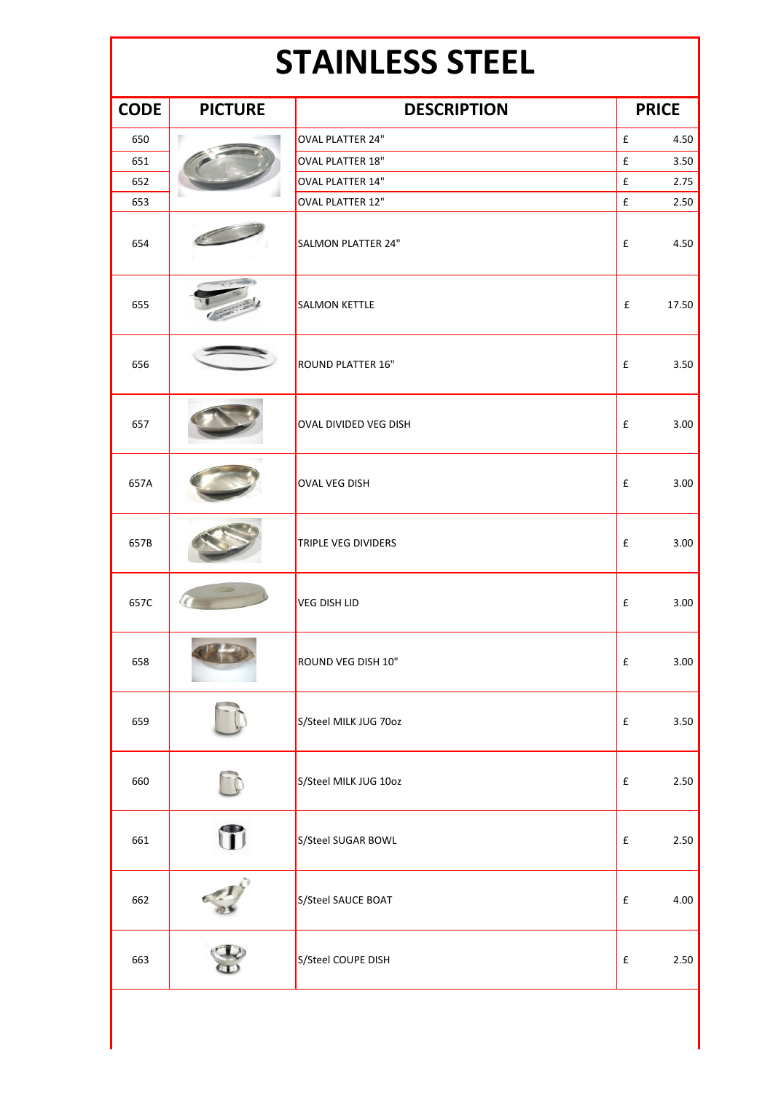## **STAINLESS STEEL**

| <b>CODE</b> | <b>PICTURE</b> | <b>DESCRIPTION</b>         | <b>PRICE</b>               |
|-------------|----------------|----------------------------|----------------------------|
| 650         | в              | OVAL PLATTER 24"           | £<br>4.50                  |
| 651         |                | <b>OVAL PLATTER 18"</b>    | $\pmb{\mathtt{f}}$<br>3.50 |
| 652         |                | <b>OVAL PLATTER 14"</b>    | $\pmb{\mathsf{f}}$<br>2.75 |
| 653         |                | OVAL PLATTER 12"           | $\pmb{\mathsf{f}}$<br>2.50 |
| 654         |                | <b>SALMON PLATTER 24"</b>  | £<br>4.50                  |
| 655         |                | <b>SALMON KETTLE</b>       | £<br>17.50                 |
| 656         |                | <b>ROUND PLATTER 16"</b>   | 3.50<br>£                  |
| 657         |                | OVAL DIVIDED VEG DISH      | 3.00<br>£                  |
| 657A        |                | <b>OVAL VEG DISH</b>       | £<br>3.00                  |
| 657B        |                | <b>TRIPLE VEG DIVIDERS</b> | $\pmb{\mathsf{f}}$<br>3.00 |
| 657C        |                | <b>VEG DISH LID</b>        | £<br>3.00                  |
| 658         |                | ROUND VEG DISH 10"         | £<br>3.00                  |
| 659         |                | S/Steel MILK JUG 70oz      | £<br>3.50                  |
| 660         |                | S/Steel MILK JUG 10oz      | $\pmb{\mathsf{f}}$<br>2.50 |
| 661         | T              | S/Steel SUGAR BOWL         | 2.50<br>£                  |
| 662         |                | S/Steel SAUCE BOAT         | £<br>4.00                  |
| 663         |                | S/Steel COUPE DISH         | 2.50<br>£                  |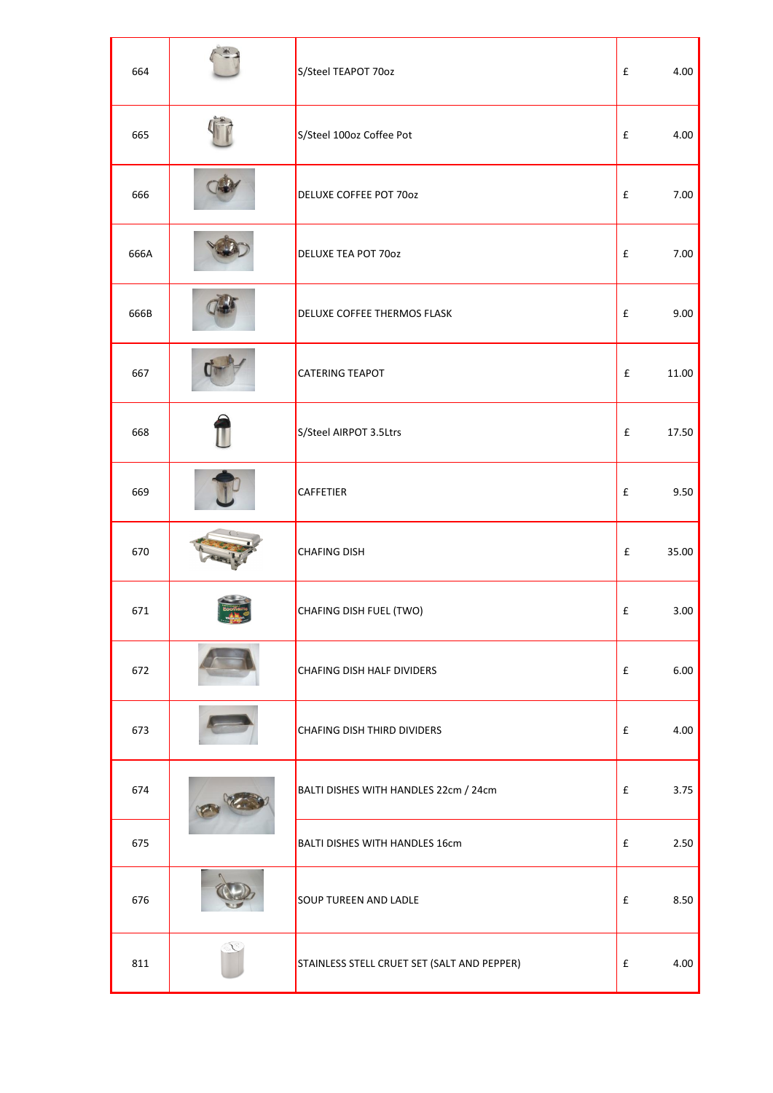| 664  | S/Steel TEAPOT 70oz                         | £ | 4.00  |
|------|---------------------------------------------|---|-------|
| 665  | S/Steel 100oz Coffee Pot                    | £ | 4.00  |
| 666  | DELUXE COFFEE POT 70oz                      | £ | 7.00  |
| 666A | <b>DELUXE TEA POT 70oz</b>                  | £ | 7.00  |
| 666B | DELUXE COFFEE THERMOS FLASK                 | £ | 9.00  |
| 667  | <b>CATERING TEAPOT</b>                      | £ | 11.00 |
| 668  | S/Steel AIRPOT 3.5Ltrs                      | £ | 17.50 |
| 669  | <b>CAFFETIER</b>                            | £ | 9.50  |
| 670  | <b>CHAFING DISH</b>                         | £ | 35.00 |
| 671  | CHAFING DISH FUEL (TWO)                     | £ | 3.00  |
| 672  | CHAFING DISH HALF DIVIDERS                  | £ | 6.00  |
| 673  | CHAFING DISH THIRD DIVIDERS                 | £ | 4.00  |
| 674  | BALTI DISHES WITH HANDLES 22cm / 24cm       | £ | 3.75  |
| 675  | BALTI DISHES WITH HANDLES 16cm              | £ | 2.50  |
| 676  | <b>SOUP TUREEN AND LADLE</b>                | £ | 8.50  |
| 811  | STAINLESS STELL CRUET SET (SALT AND PEPPER) | £ | 4.00  |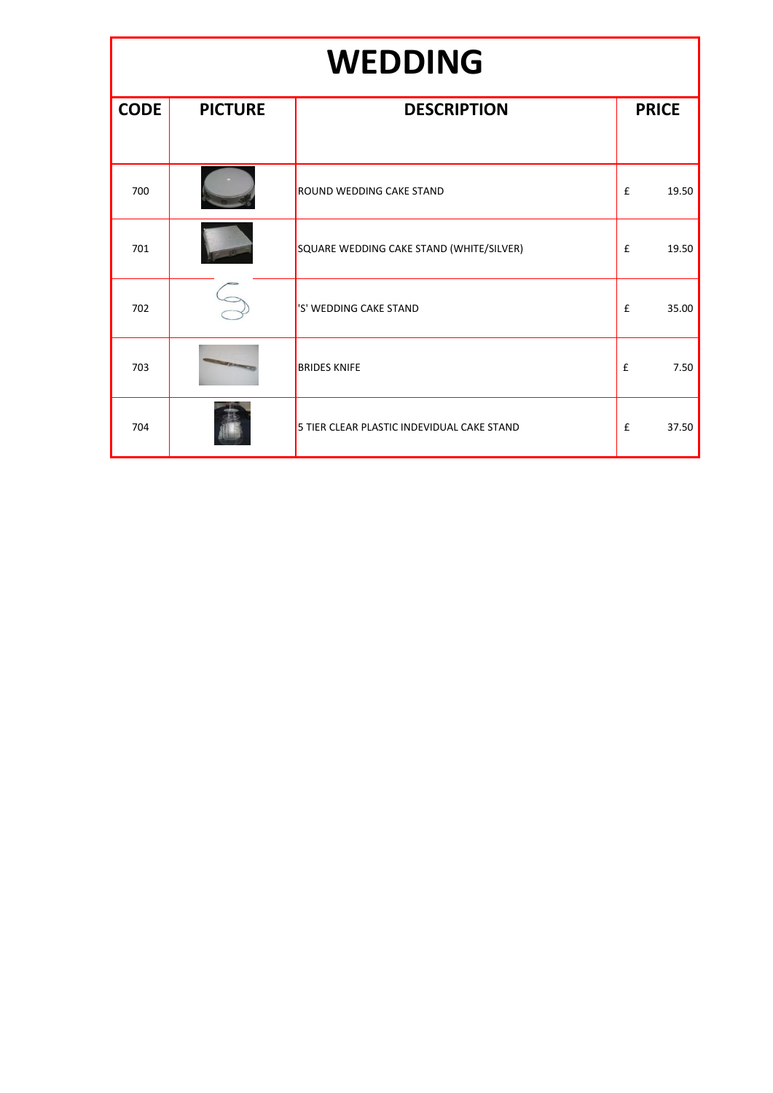### **WEDDING**

| <b>CODE</b> | <b>PICTURE</b> | <b>DESCRIPTION</b>                         | <b>PRICE</b>                |
|-------------|----------------|--------------------------------------------|-----------------------------|
|             |                |                                            |                             |
| 700         |                | ROUND WEDDING CAKE STAND                   | 19.50<br>£                  |
| 701         |                | SQUARE WEDDING CAKE STAND (WHITE/SILVER)   | 19.50<br>£                  |
| 702         |                | 'S' WEDDING CAKE STAND                     | £<br>35.00                  |
| 703         |                | <b>BRIDES KNIFE</b>                        | £<br>7.50                   |
| 704         |                | 5 TIER CLEAR PLASTIC INDEVIDUAL CAKE STAND | $\pmb{\mathsf{f}}$<br>37.50 |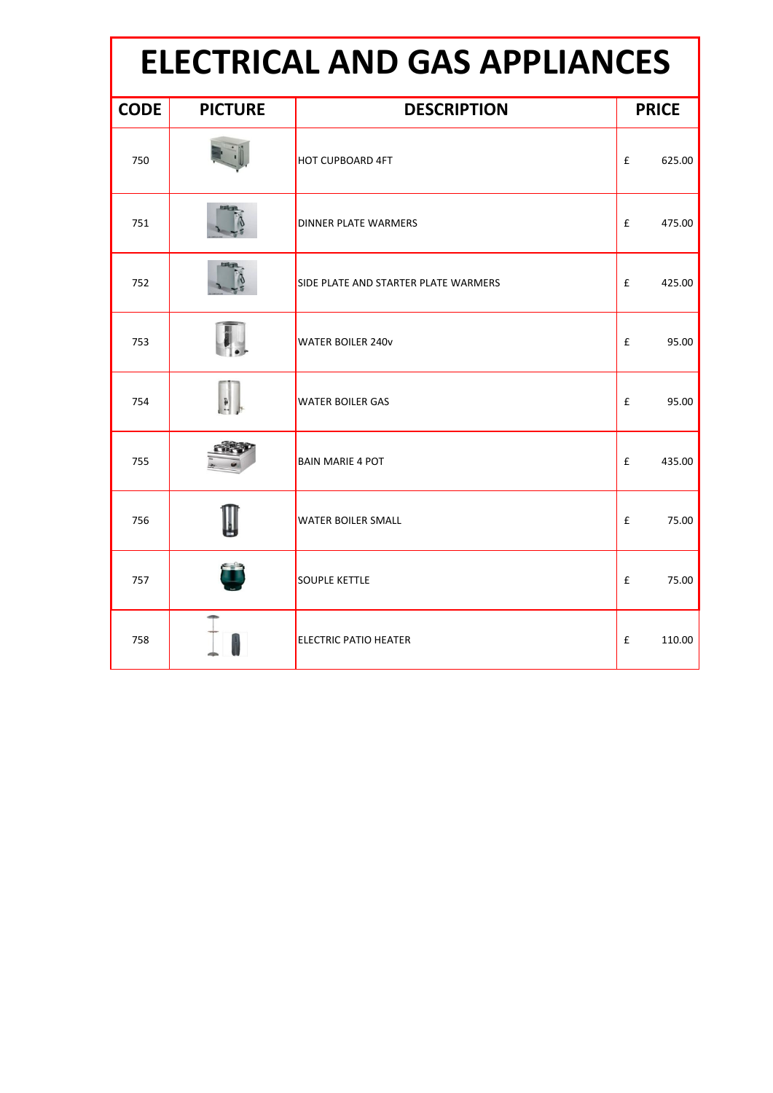| <b>ELECTRICAL AND GAS APPLIANCES</b> |                |                                      |              |  |  |  |
|--------------------------------------|----------------|--------------------------------------|--------------|--|--|--|
| <b>CODE</b>                          | <b>PICTURE</b> | <b>DESCRIPTION</b>                   | <b>PRICE</b> |  |  |  |
| 750                                  |                | <b>HOT CUPBOARD 4FT</b>              | £<br>625.00  |  |  |  |
| 751                                  |                | <b>DINNER PLATE WARMERS</b>          | £<br>475.00  |  |  |  |
| 752                                  |                | SIDE PLATE AND STARTER PLATE WARMERS | £<br>425.00  |  |  |  |
| 753                                  |                | <b>WATER BOILER 240v</b>             | £<br>95.00   |  |  |  |
| 754                                  |                | <b>WATER BOILER GAS</b>              | £<br>95.00   |  |  |  |
| 755                                  |                | <b>BAIN MARIE 4 POT</b>              | £<br>435.00  |  |  |  |
| 756                                  |                | <b>WATER BOILER SMALL</b>            | £<br>75.00   |  |  |  |
| 757                                  |                | <b>SOUPLE KETTLE</b>                 | £<br>75.00   |  |  |  |
| 758                                  |                | <b>ELECTRIC PATIO HEATER</b>         | £<br>110.00  |  |  |  |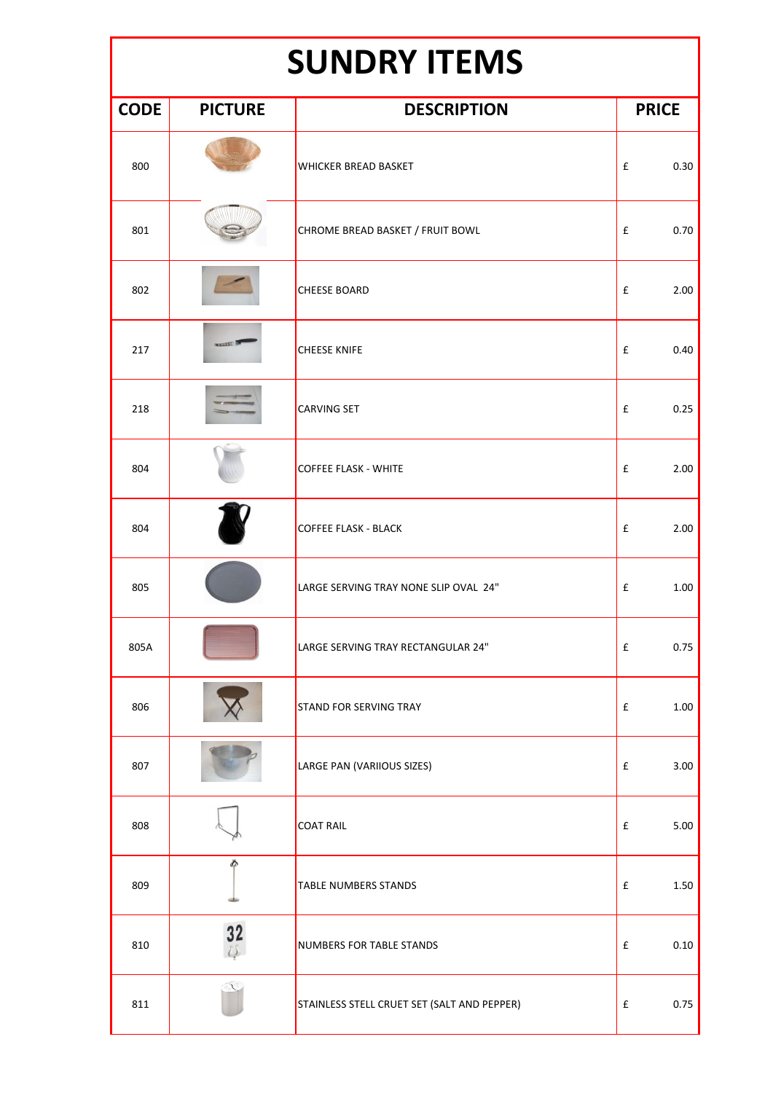### **SUNDRY ITEMS**

| <b>CODE</b> | <b>PICTURE</b> | <b>DESCRIPTION</b>                          | <b>PRICE</b> |  |
|-------------|----------------|---------------------------------------------|--------------|--|
| 800         |                | <b>WHICKER BREAD BASKET</b>                 | £<br>0.30    |  |
| 801         |                | CHROME BREAD BASKET / FRUIT BOWL            | 0.70<br>£    |  |
| 802         |                | <b>CHEESE BOARD</b>                         | £<br>2.00    |  |
| 217         | <b>Runse</b>   | <b>CHEESE KNIFE</b>                         | £<br>0.40    |  |
| 218         |                | <b>CARVING SET</b>                          | 0.25<br>£    |  |
| 804         |                | <b>COFFEE FLASK - WHITE</b>                 | £<br>2.00    |  |
| 804         |                | <b>COFFEE FLASK - BLACK</b>                 | 2.00<br>£    |  |
| 805         |                | LARGE SERVING TRAY NONE SLIP OVAL 24"       | £<br>1.00    |  |
| 805A        |                | LARGE SERVING TRAY RECTANGULAR 24"          | £<br>0.75    |  |
| 806         |                | <b>STAND FOR SERVING TRAY</b>               | 1.00<br>£    |  |
| 807         |                | LARGE PAN (VARIIOUS SIZES)                  | £<br>3.00    |  |
| 808         |                | <b>COAT RAIL</b>                            | 5.00<br>£    |  |
| 809         | Ď              | <b>TABLE NUMBERS STANDS</b>                 | f<br>1.50    |  |
| 810         | 32             | NUMBERS FOR TABLE STANDS                    | 0.10<br>£    |  |
| 811         |                | STAINLESS STELL CRUET SET (SALT AND PEPPER) | 0.75<br>£    |  |